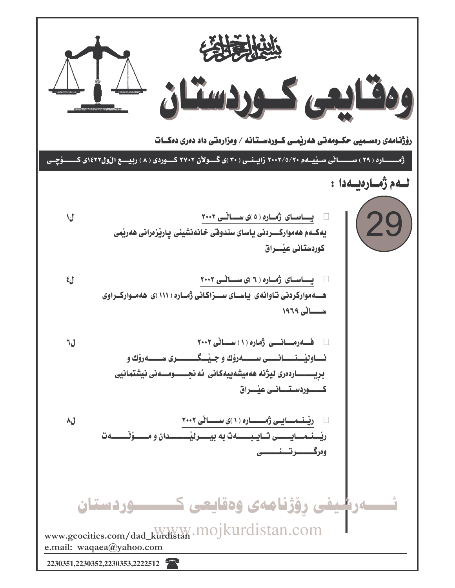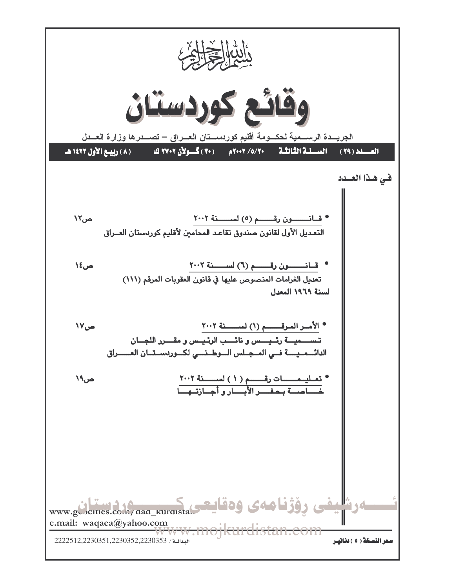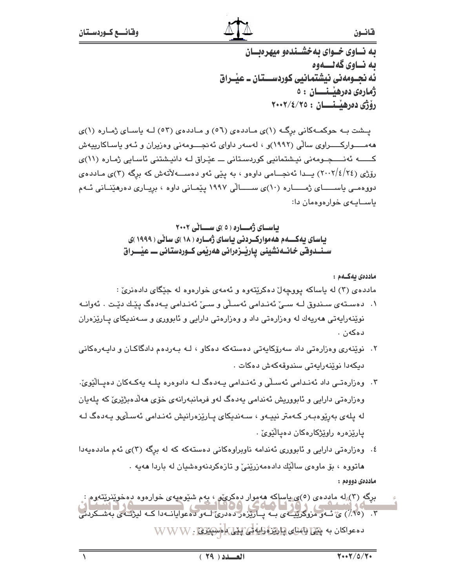به نساوی خسوای به خشیندهو میهره بسان ىە نــاوي گەنـــەوە ئه نجــومەنى نيشتمـانيى كوردســـتان ــ عيــراق زمارەى دەرھىسىسان : ٥ رۆژى دەرھىسىسان : ٢٠٠٢/٤/٢٥

پشت به حوکمهکانی برگ (۱)ی ماددهی (٥٦) و ماددهی (٥٣) لـه ياسای ژماره (١)ی ههمـــــوارکــــــراوی سالّی (۱۹۹۲)و ، لهسهر داوای ئهنجـــــومهنی وهزیران و ئــهو یاســاکارپیهش کـــــه ئەنــــجـومەنى نيـشتمانيى کوردسـتانى ـــ عێـراق لـه دانيـشتنى ئاسـايى ژمـاره (١١)ى رۆژى (٢٤/٤/٢٤) يــدا ئەنجـــامى داوەو ، بە يێى ئەو دەســـەلأتەش كە برگە (٣)ى مـاددەي دووهمــی یاســــــای ژمــــــاره (۱۰)ی ســــــالّی ۱۹۹۷ یێمــانی داوه ، بریــاری دهرهێنــانی ئــهم باســابـهى خوارەوەمان دا:

> باسای ژُمــاره ( ٥ )ی ســانی ٢٠٠٢ یاسای یه کـــهم هه موارکــردنی یاسای ژمــاره ( ۱۸ )ی سانی ( ۱۹۹۹ )ی سـنــدوقی خـانــهنشینی یـاریـْــزەرانی هەریمی کــوردستـانی ـــ عیـْــــراق

ماددەى ئەكــەم : مادده ی (۳) له باساکه پووچهان دهکریتهوه و ئهمهی خوارهوه له جنگای دادهنری :

- ۰۱ دەستەي سىندوق لـﻪ سـێ ئەنىدامى ئەسىلى و سـێ ئەنـدامى يـﻪدەگ يێـك دێت ٠ ئەوانـﻪ نوێنەراپەتى ھەرپەك لە وەزارەتى داد و وەزارەتى دارايى و ئابوورى و سـەندېكاي پــارێزەران دەكەن .
- ۲. نویندوی وهزارهتی داد سەرۆکاپەتی دەستەکە دەکاو ، لـه بـەردەم دادگاکـان و دايـەرەکانى دىكەدا نوينەرايەتى سندوقەكەش دەكات .
- ۳. وەزارەتـى داد ئەنـدامى ئەسـلْى و ئەنـدامى پـەدەگ لــە دادوەرە يلــە پەكـەكان دەپـالێوێ. وەزارەتى دارايى و ئابووريش ئەندامى يەدەگ لەو فرمانبەرانەي خۆي ھەلدەبژێرێ كە يلەيان له پلهی بهرێوەبـهر کـهمتر نیپـهو ، سـهندیکای پـارێزەرانیش ئەنـدامی ئەسـڵىو پـهدەگ لـه پارێزەرە راوێژكارەكان دەپاڵێوێ .
- ٤. وهزارهتی دارایی و ئابووری ئەندامه ناوبراوهکانی دەستەکە کە لە برگە (٣)ی ئەم ماددەيەدا هاتووه ، بۆ ماوەي سالّيْك دادەمەزرينى و تازەكردنەوەشيان لە باردا ھەيە . ماددەي دووەم :
- برگهِ (۳) له ماددهی (٥)ی پاساکه ههموار دهکری ه، بهم شده میهی خوارهوه دهخوینریتهوم : ۳. (۲۰٪) ی ئـه و مزوکزییـه ی بـه پـاریزه رده دری لـه و ده عوایانـه دا کـه لیژنـه ی بهشـکردنی ده عواكان به بِلِيْلِ لِلْهُمْلَى لِيَارِلِيْزِةَ رَايِةٍ فِي لِيْلِيْ وَإِصْلِيْلِيْلِ (WWW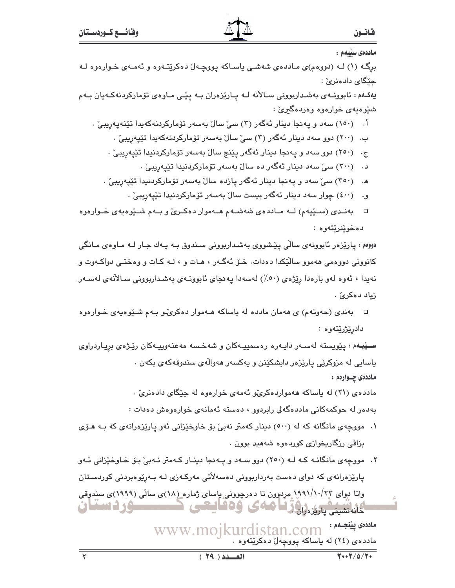ماددەى سىيەم :

برِگه (۱) لـه (دووهم)ی مـاددهی شهشـی یاسـاکه پووچـهلٌ دهکریتـّـهوه و ئهمـهی خـوارهوه لـه جێگا*ی د*ادەنری*ٰ* :

یهکـهم : ئابوونـهی بهشـداربوونی سـالأنه لـه پـارێزهران بـه پێـی مـاوهی تۆمارکردنهکـهیان بـهم شنيوهيهي خوارەوە وەردەگىرىٰ :

- اً. (١٥٠) سه دو په نجا دينار ئهگهر (٣) سيِّ سالٌ بهسهر تۆماركردنهكهيدا تێنهپهريبيِّ .
	- ب. (۲۰۰) دوو سهد دینار ئهگهر (۳) سیّ سالٌ بهسهر تۆمارکردنهکهیدا تێیهریبیؒ .
	- ج. (۲٥۰) دوو سهد و پهنجا دینار ئهگهر پێنج سالٌ بهسهر تۆمارکردنیدا تێپهریبیِّ .
		- د. (۳۰۰) سیٚ سهد دینار ئهگهر ده سالْ بهسهر تۆمارکردنیدا تێیهریبیٚ ۰
	- ه. (٣٥٠) سیٚ سهد و پهنجا دینار ئهگهر یازده سالْ بهسهر تۆمارکردنیدا تێیهریبیٚ .
		- و. (٤٠٠) چوار سەد دىنار ئەگەر بىست سالٌ بەسەر تۆماركردنىدا تێيەرىبىؒ .
- بهندی (سیپیهم) لــه مـاددهی شهشــهم هــهموار دهکـریّ و بــهم شـیوهیهی خـوارهوه  $\Box$ دەخويىريتەوە :

دووهم : پارێزەر ئابوونەي ساڵى پێشووى بەشداربوونى سىندوق بـﻪ پـﻪك جـار لـﻪ مـاوەي مـانگى کانوونی دووهمی ههموو سالٽِکدا دهدات. خــوّ ئـهگــهر ، هــات و ، لــه کــات و وهختــی دواکــهوت و نەيدا ، ئەوە لەو بارەدا رێژەی (٥٠٪) لەسەدا يەنجای ئابوونـەی بەشـداربوونى سـالآنەی لەسـەر زياد دەكرىّ .

□ بهندي (حهوتهم) ي ههمان مادده له پاساكه هـهموار دهكريِّـو بـهم شـێوهيهي خـوارهوه دادرێژرێتەوە :

ســێيـهم : پێويسته لهسـهر دايـهره رهسمپيـهکان و شهخـسه مهعنهوپيـهکان رێـژهی بريـاردراوی باسایی له مزوکریی یاریزهر دابشکینن و یهکسهر مهوالهی سندوقهکهی بکهن . ماددەى چــوارەم :

مادده ی (۲۱) له یاساکه ههمواردهکریٌو ئهمهی خوارهوه له جێگای دادهنریؒ .

بەدەر لە حوكمەكانى ماددەگەلى رابردوو ، دەستە ئەمانەى خوارەوەش دەدات :

- ۰۱ مووچهی مانگانه که له (۵۰۰) دینار کهمتر نهبیٌ بو خاوخپزانی ئهو یارپزهرانهی که بـه هـوّی بزاڤی رزگاریخوازی کوردهوه شههید بوون .
- ۲. مووچهی مانگانـه کـه لـه (۲٥٠) دوو سـهد و پـهنجا دینـار کـهمتر نـهبیّ بـوّ خـاوخیّزانی ئـهو پارێزەرانەی کە دوای دەست بەرداربوونى دەسەلأتى مەركـەزى لـە بـەرێوەبردنى كوردسـتان واتا دوای ۱۹۹۱/۱۰/۲۳ مردوون تا دهرچوونی پاسای ژماره (۱۸)ی سالی (۱۹۹۹)ی سندوقی وردستان فانشيني يارين زاوز كالماءى ودفايتحى

ماددەى يېنجــەم : www.moikurdistan.com مادده ی (٢٤) له یاساکه پووچهلْ دهکرێتهوه .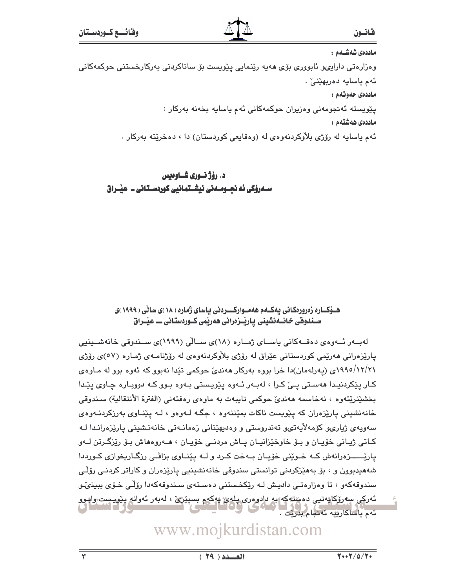ماددەى شەشــەم :

وەزارەتى دارايىپو ئابوورى بۆى ھەيە رێنمايى پێويست بۆ ساناكردنى بەركارخستنى حوكمەكانى ئەم ياسايە دەربھێنىٚ ٠

ماددەي حەوتەم :

يٽويسٽه ئەنجومەنى وەزيران حوكمەكانى ئەم ياسايە بخەنە بەركار :

ماددەى ھەشتەم :

ئهم پاسايه له رۆژي بلاْوكردنهوهي له (وهقايعي كوردستان) دا › دهخرێته بهركار .

د. رۆژ نــوری شــاوەيس سـەرۆکى ئە نجـومـەنى نيشـتمانيى کوردسـتانى ــ عیّـراق

## هــوْکــاره زەرورەکـانى يەکــەم ھەمــوارکـــردنى ياساي ژمارە ( ۱۸ )ى ساڻى ( ۱۹۹۹ )ى سـندوفی خـانــهنشینی یـاریـْـزەرانی هەریمی کــوردستـانی ـــ عیـْــراق

لەب در ئەوەي دەقــەكانى ياســاي ژمــارە (١٨)ى ســالّى (١٩٩٩)ى ســندوقى خانەشــينيى پارێزەرانى ھەرێمى كوردستانى عێراق لە رۆژى بلاْوكردنەوەي لە رۆژنامـەي ژمـارە (٥٧)ى رۆژى ۱۲/۲۱/ ۱۹۹۰می (پهرلهمان)دا خرا بووه بهرکار ههندیّ حوکمی تێدا نهبوو که ئهوه بوو له مـاوهی کار پٽکردنيدا ههستي يے کرا ، لهبهر ئهوه پٽويستي بهوه بوو که دووياره چاوي پٽدا بخشێنرێتەوە ، نەخاسمە ھەندىٰ حوكمى تايبەت بە ماوەي رەفتەنى (الفترة الأنتقالية) سىندوقى خانهنشینی پارێزەران که پێویست ناکات بمێننهوه ، جگـه لـهوەو ، لـه پێنـاوی بهرزکردنـهوهی سەويەي ژيارىمو كۆمەلايەتى وتەندروستى و وەديھێنانى زەمانـەتى خانەنىشىنى يارێزەرانىدا لـﻪ کـاتي ژيـاني خۆيـان و بـۆ خاوخێزانيـان يـاش مردنـي خۆيـان ، ھــەروەھاش بـۆ رێزگـرتن لــەو پارٽســــزهرانهش کــه خــوێنی خۆپــان بــهخت کـرد و لــه پێنــاوی بزاڤـی رزگـاریخوازی کــورددا شههیدبوون و ، بۆ بەھێزکردنی توانستی سندوقی خانەنشىينيى يارێزەران و کاراتر کردنـی رۆڵـی سندوقهکەو ، تا وەزارەتـى داديـش لـه رێکخـستنى دەسـتەي سـندوقهکەدا رۆلـّى خـۆي بېينىّدو ئەركى سەرۆكاپەتيى دەستەكە بە دادوەرى پلەئ يەكەم بسىيرىّ ، لەبەر ئەرانە پيويىست رايور

# www.mojkurdistan.com

ئەم ياساكارىيە ئەنجام بدريت .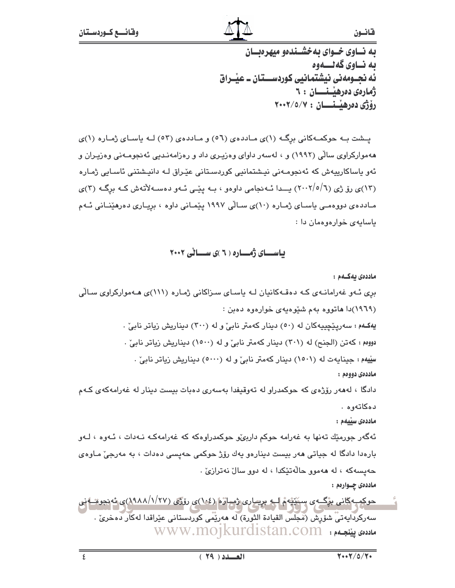به نساوی خسوای به خشسندهو میهره سان ىە نــاوي گەنـــەوە ئه نجــومەنى نيشتمـانيى كوردســـتان ــ عيــراق زمارەى دەرھىسىسان : ٦ رۆژى دەرھىسىسان : ٢٠٠٢/٥/٧

یسشت به حوکمهکانی برگ (۱)ی ماددهی (٥٦) و ماددهی (٥٣) لـه یاسـای ژمـاره (۱)ی ههموارکراوی سالّی (۱۹۹۲) و ، لهسهر داوای وهزیـری داد و رهزامهنـدیی ئهنجومـهنی وهزیـران و ئەر ياساكاريپەش كە ئەنجومـەنى نيـشتمانيى كوردسـتانى عێـراق لـە دانيـشتنى ئاسـابى ژمـارە (۱۳)ی روّ ژی (۲۰۰۲/۰/۱) پــدا ئــهنجامی داوهو ، بــه پێـی ئــهو دهســهلأتهش کــه برگــه (۳)ی مـادده ی دووهمـی یاسـای ژمـاره (۱۰)ی سـالّی ۱۹۹۷ ییّمـانی داوه ، بریـاری دهرهیّنـانی ئـهم ياسايهى خوارەوەمان دا:

باســای ژمــاره ( ٦ )ی ســانی ٢٠٠٢

ماددەى يەكــەم :

بری ئهو غهرامانهی که دهقهکانیان له یاسای سزاکانی ژماره (١١١)ی ههموارکراوی سالّی (۱۹٦۹)دا هاتووه بهم شَيْوهيهي خوارهوه دهبن : یهکـهم : سهریـێچییهکان له (٥٠) دینار کهمتر نابیٌ و له (٣٠٠) دیناریش زیاتر نابیؒ . دووهم: كهتن (الجنح) له (٣٠١) دينار كهمتر نابيٌّ و له (١٥٠٠) ديناريش زياتر نابيٌّ . سِیْیهم : جینایهت له (۱۵۰۱) دینار کهمتر نابیٌ و له (۵۰۰۰) دیناریش زیاتر نابی ؒ . ماددەي دووەم : دادگا ، لەھەر رۆژەي كە حوكمدراو لە تەوقىفدا بەسەرى دەبات بىست دىنار لە غەرامەكەي كـەم دەكاتەوە . ماددەى سىيەم : ئەگەر جورمێك تەنھا بە غەرامە حوكم داربى،ّو حوكمدراوەكە كە غەرامەكـﻪ نـﻪدات ، ئـﻪوە ، لـﻪو بارهدا دادگا له جياتي ههر بيست دينارهو يهك رۆژ حوكمي حهپسي دهدات ، به مهرجيّ مـاوهي حهيسه كه ، له ههموو حالّهتيكدا ، له دوو سالٌ نهتراريٌ . ماددهۍ چــوارهم :

حوکم به کانی برگ ی سکیه م لــه بریــاری ژمـاره (۱۰۶)ی روزی (۱/۲۷/۱۸۸/۱)ی نه نجوهــه نی سەركردايەتىّ شۆرش (مْجَلَس القيادة الثَورة) لَه مەرىيَّمى كوردستانى عيراقدا لەكار دەخرى . ملادەي يىنچىەم : www.mojkurdistan.com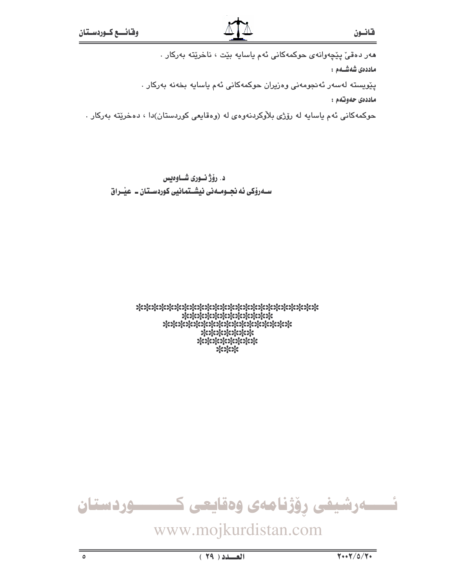هەر دەقى يێچەوانەي حوكمەكانى ئەم ياسايە بێت ، ناخرێتە بەركار . ماددەى شەشــەم : پێویسته لهسهر ئهنجومهنی وهزیران حوکمهکانی ئهم یاسایه بخهنه بهرکار . ماددەي جەوتەم : حوکمهکاني ئهم ياسايه له رۆژي بلاْوکردنهوهي له (وهقايعي کوردستان)دا ، دهخرێته بهرکار .

د. رؤژنسوری شاوهیس ســهروٰکی ئه نجــومــه نی نیشــتمـانیی کوردســتان ــ عیّــراق

> \*\*\*\*\*\*\*\*\*\*\*\*\*\*\*\*\*\*\*\*\*\*\*\* \*\*\*\*\*\*\*\*\*\*\*\* \*\*\*\*\*\*\*\*\*\*\*\*\*\*\*\*\*\* \*\*\*\*\*\*\* \*\*\*\*\*\*\*\* \*\*\*

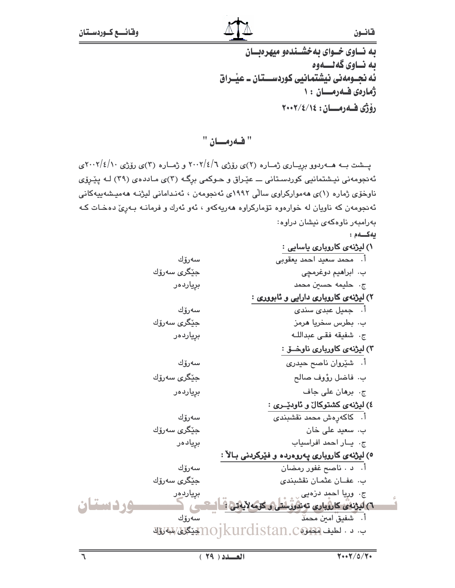به نساوی خسوای به خشسندهو میهرهبسان ىە ناوي گەنسەوە نّه نجــومهنى نيشتمـانيى كوردســـتـان ــ عيْــراق ژمارەي فىەرمىلان : ١ دۆۋى فەدەكان: ١٤/٤/١٤

" فهرمان "

پسشت بــه هـــه(ردوو بږیـــاری ژمــاره (۲)ی رۆژی ۲۰۰۲/٤/۱ و ژمــاره (۳)ی رۆژی ۲۰۰۲/٤/۱۰می ئهنجومهنی نیشتمانیی کوردستانی ـــ عیّـراق و حـوکمی برگـه (۳)ی مـاددهی (۳۹) لـه ییّـروّی ناوخۆی ژماره (۱)ی هەموارکراوی سالّی ۱۹۹۲ی ئەنجومەن ، ئەنـدامانی لیژنـه هەمیـشەپیەکانی ئەنجومەن كە ناويان لە خوارەوە تۆماركراوە ھەريەكەو ، ئەو ئەرك و فرمانــە بـەرىّ دەخـات كــە بهرامبهر ناوهکهی نیشان دراوه:

يەكسەم:

 $\bar{\varphi}$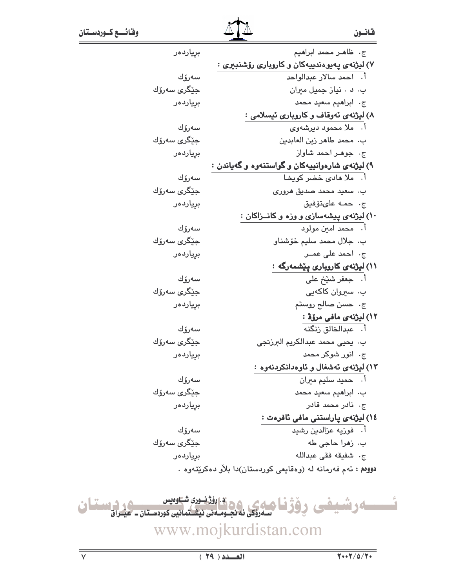| برِياردەر                    | ج- ظاهـر محمد ابراهيم                                            |  |
|------------------------------|------------------------------------------------------------------|--|
|                              | ۷) لیژنهی پهیوهندییهکان و کاروباری رۆشنبیری :                    |  |
| سەرۆك                        | أ. احمد سالار عبدالواحد                                          |  |
| جێگر <i>ی</i> سەرۆك          | ب. د . نياز جميل ميران                                           |  |
| بڕۑاردەر                     | ج. ابراهيم سعيد محمد                                             |  |
|                              | ۸) لیژنهی ئەوقاف و کاروباری ئیسلامی :                            |  |
| سەرۆك                        | أ.   ملا محمود دیرشهوی                                           |  |
| حێگر <i>ی</i> سەرۆك          | ب. محمد طاهر زين العابدين                                        |  |
| برياردەر                     | ج. جوهر احمد شاواز                                               |  |
|                              | ۹) لیژنهی شارهوانیپهکان و گواستنهوه و گهیاندن                    |  |
| سەرۆك                        | أ.   ملا مادی خضر کویخـا                                         |  |
| جێگر <i>ی</i> سەرۆك          | بِ، سعيد محمد صديق هروري                                         |  |
| برِياردەر                    | ج. حمه علىتۆفيق                                                  |  |
|                              | ۱۰) لیژنهی پیشهسازی و وزه و کانــزاکان :                         |  |
| سەرۆك                        | أ. محمد امين مولود                                               |  |
| جێگر <i>ی</i> سەرۆك          | ب. جلال محمد سليم خۆشناو                                         |  |
| بڕیاردەر                     | ج، احمد على عمــر                                                |  |
|                              | ۱۱) لیژنهی کاروباری پێشمهرگه :                                   |  |
| سەرۆك                        | أ.   جعفر شَيْخ على                                              |  |
| حێگر <i>ی</i> سەرۆك          | ب. سیروان کاکهیی                                                 |  |
| برياردەر                     | ج. حسن صالح روستم                                                |  |
|                              | ۱۲) لیژنه <i>ی</i> مافی مرۆۋ :                                   |  |
| سەرۆك                        | أ. عبدالخالق زنگنه                                               |  |
| جێگر <i>ی</i> سەرۆك          | ب.  يحيى محمد عبدالكريم البرزنجى                                 |  |
| برِياردەر                    | ج. انور شوکر محمد                                                |  |
|                              | ۱۳) لیژنهی ئهشغال و ئاوهدانکردنهوه :                             |  |
| سەرۆك                        | اً. حميد سليم ميران                                              |  |
| جێؚگر <i>ی</i> سەرۆك         | ب. ابراهيم سعيد محمد                                             |  |
| برياردەر                     | ج٠ نادر محمد قادر                                                |  |
|                              | ١٤) ليژنەي پاراستنى مافى ئافرەت :                                |  |
| سەرۆك                        | أ. فوزيه عزالدين رشيد                                            |  |
| ج <u>ٽ</u> گر <i>ی</i> سەرۆك | ب. زهرا حاجي طه                                                  |  |
| برياردەر                     | ج. شفيقه فقى عبدالله                                             |  |
|                              | - دووهم : ئەم فەرمانە لە (روقايعى كورېستان)دا بلاْر بىرەكرىتتەرە |  |

ئىسسساموشىيىغى وۆژنا ھايى 90 قايۇندون شاوەيس<br>ئىسسساموشىيىغى وۆژنا ھايى ئەنجومەن نىشتەنيە كوردستان-ھىراق www.mojkurdistan.com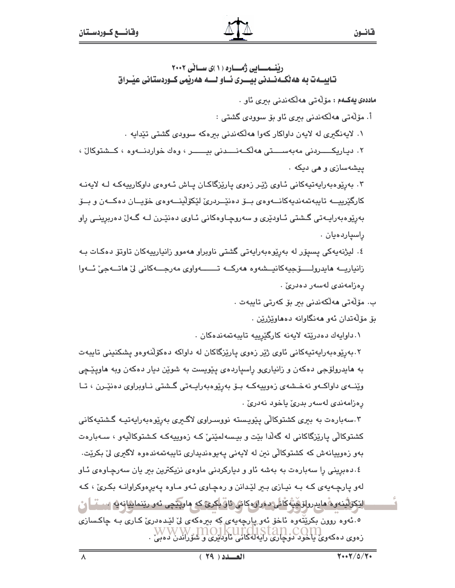قانسون

ریْنمــایی ژمــاره (۱)ی سـانی ۲۰۰۲ تايب1ت به هه ٽک1نـدني بيـــري ئــاو لــــه ههريمي کــوردستاني عيـّـراق

ماددەي يەكــەم : مۆڵەتى ھەلكەندنى بىرى ئاو .

أ. مۆلّەتى ھەلكەندنى بىرى ئاو بۆ سوودى گشتى :

۱. لایەنگیری له لایەن داواکار کەوا ھەلّکەندنی بیرەکە سوودی گشتی تێدایە ٠

۲. دياريکــــــردنى مەبەســــتى ھەلكـــەنــــدنى بيــــــــر ، وەك خواردنــــەوە ، كــشتوكالْ ، ييشەسازى و هى ديكە .

۲. بەرپوەبەرايەتيەكانى ئـاوي ژێـر زەوي پارێزگاكـان پـاش ئـەوەي داوكارپيەكـە لـە لايەنـە كارگێرييــه تايبەتمەنديەكانــەوەي بــۆ دەنێــردرێ لێكۆڵێنــەوەي خۆپــان دەكــەن و بــۆ بەرێوەبەراپــەتى گــشتى ئــاودێرى و سەروچــاوەكانى ئــاوى دەنێــرن لــە گــەلٚ دەربرینــى راو راسپاردەيان .

٤. لیژنهپهکی پسپۆر له بهرێوهبەراپەتی گشتی ناوبراو ھەموو زانیارپیەکان تاوتۆ دەکـات بـه زانياريـــه مايدرولــــــوّجيهكانيـــشهوه مەركـــه تــــــــــهواوي مەرجــــهكاني ليّ ماتـــهجيّ ئـــهوا رەزامەندى لەسەر دەدرىؒ ٠

ب. مۆلەتى ھەلكەندنى بىر بۆ كەرتى تايبەت .

بۆ مۆلەتدان ئەو ھەنگاوانە دەھاوێژرێن .

۰. داوايەك دەدرێتە لايەنە كارگێرييە تايبەتمەندەكان .

۲.بەرێوەبەرايەتپەكانى ئاوى ژێر زەوى پارێزگاكان لە داواكە دەكۆلّنەوەو يشكنينى تايبەت به هايدرولۆجي دەكەن و زانيارىو راسياردەي يێويست بە شوێن ديار دەكەن وبە ھاويێڃى وێنــهى داواكــهو نهخــشهى زەوييەكــه بــۆ بەرێوەبەراپــەتى گــشتى نــاويراوى دەنێــرن ، تــا رەزامەندى لەسەر بدرىؒ ياخود نەدرىؒ .

۳.سەبارەت بە بېرى كشتوكالى پێويستە نووسىراوى لاگىرى بەرێوەبەرايەتيـە گشتيەكانى کشتوکالی پارێزگاکانی له گەلّدا بێت و بیـسەلمێنیٚ کـه زەوییەکـه کـشتوکالّیهو ، سـەبارەت بەو زەوپيانەش كە كشتوكالى نىن لە لايەنى پەيوەندېدارى تايبەتمەندەوە لاگىرى لىْ بكريْت. ٤.دهبرینی را سهبارهت به بهشه ئاو و دیارکردنی ماوهی نزیکترین ببر یان سهرچاوهی ئـاو لهو پارچهپهي کـه بـه نيـازي بـبر لێدانن و رهچـاوي ئـهو مـاوه پهپرهوکراوانـه بکـريّ ، کـه ٳێڮڒڷؾ۫ڹ؈ۿۜڡٳۑڔڔڔڸڒڝٛٚؿۨ**ٛػ**ٲڂ<mark>ؠڡۏڔٳۏۅڮٳۺ۞ۊۜۦڸ</mark>ؖڮڕێ؏ؼۅ؞ڡٳۅۑؖێڿؠۦٮؙٶڔڔێؽؠٳڝۣٳڹٷڡ؊؊ۜ<u>ٵؖ؇</u> ٥.ئەوه روون بكرێتّەوه ئاخۆ ئەوپارچەيەي كە بىرەكەي لى ليٚدەدرى كارى بـە چاكسازى ل الماليا ليا الماليا بي الماليا الماليا الماليا الماليا كالماليا كان كان كان كان كان.<br>زەوى دەكەوي ياخود دوچارى رايەلەكانى ئاودىيرى و شۆراندى دەبى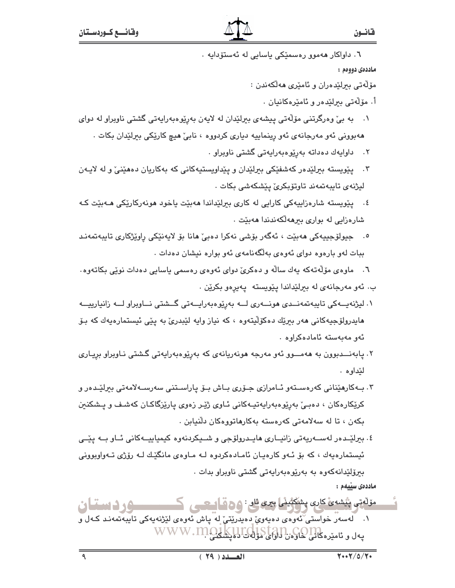٦. داواکار ھەموق رەسمێکی پاسايی لە ئەستۆداپە ٠

ماددەي دووەم :

مۆلەتى بېرلىدەران و ئامىرى ھەلكەندن :

- أ. مۆلەتى بىرلىدەر و ئامىرەكانيان .
- ١. \_ به بيّ وەرگرتنى مۆلّەتى ييشەي بېرلێدان له لايەن بەرێوەبەرايەتى گشتى ناوبراو لە دواي ههبووني ئهو مەرجانەي ئەو رينماييە ديارى كردووه ، نابيّ هيچ كارێكى بېرلێدان بكات .
	- ۰۲ داوايەك دەداتە بەرێوەبەرايەتى گشتى ناوبراو .
- ۴. پیویسته بیرلیده رکهشفیکی بیرلیدان و پیداویستیهکانی که بهکاریان دههینی و له لایهن ليژنەي تايبەتمەند تاوتۆبكرى يێشكەشى بكات .
- ٤. پێويسته شارەزاييەكى كارايى له كارى بېرلێداندا مەبێت ياخود مونەركارێكى مـﻪبێت كـﻪ شارەزايى لە بوارى بىرھەلكەندندا ھەبێت .
- °. جيولۆجييەكى مەبێت ، ئەگەر بۆشى نەكرا دەبى ٘مانا بۆ لايەنێكى راوێژكارى تايبەتمەنـد ببات لهو بارهوه دوای ئهوهی بهلگهنامهی ئهو بواره نیشان دهدات .
- ٦. ماوەي مۆلّەتەكە يەك سالّە و دەكرىّ دواي ئەوەي رەسمى ياسايى دەدات نوێى بكاتەوە. ب. ئەو مەرجانەي لە بىرلێداندا يێويستە يەيرەو بكرێن .
- ۱. لیژنەپىەكى تايبەتمەنىدى ھونىـەرى لــە بەرێوەبەراپــەتى گـىشتى نــاوبراو لــە زانيارييــە هایدرولۆجیەکانی هەر بیریّك دەكۆلّیتەوە ، كە نیاز وایە لیٚبدریٚ بە پیّی ئیستمارەیەك كە بىۆ ئەو مەبەستە ئامادەكراوە ٠
- ۲. یابەنـــدبوون بە ھەمـــوو ئەو مەرجە ھونەریانەی کە بەرێوەبەراپەتی گـشتی نـاوبراو بریـاری لێداوه .
- ۳. بـﻪﻛﺎﺭﻫﯚﻨﺎﻧﻲ ﻛﻪﺭﻩﺳـﺘﻪﻭ ﺋـﺎﻣﺮﺍﺯﻯ ﺟـﯚﺭﻯ ﺑـﺎﺵ ﺑـﯚ ﻳﺎﺭﺍﺳـﺘﻨﻲ ﺳﻪﺭﺳـﻪﻻﻣﻪﺗﻲ ﺑﯧﺮﻟﯚـﺪﻩﺭ ﻭ کرێکارهکان ، دەبےٚ بەرێوەبەرايەتپـەکانى ئـاوى ژێـِر زەوى يارێزگاکـان کەشـف و يـشكنين بکەن ، تا لە سەلامەتى كەرەستە بەكارھاتوۋەكان دلنيابن .
- ٤. بېرليْـدەر لەســەرپەتى زانيــارى ھايــدرولۆجى و شــيكردنەوە كيمياييــەكانى ئــاو بــە يێــى ئیستمارهیهك ، كه بۆ ئـهو كارەپـان ئامـادەكردوه لـه مـاوەی مانگێـك لـه رۆژی تـهواوبوونی ببرۆلێدانەكەوە بە بەرێوەبەراپەتى گشتى ناويراو بدات . ماددەى سىيەم :

مۆلەتى پېشەئ كارى پشكېنىڭى يېرى ئار : **٥٥ قامىسى** ، ك ــــود دستان ۰۱ لەسەر خواستى ْئەوەي دەيەويْ دەيدرێتىْ لە پاش ئەوەي لێژنەيەكى تايبەتمەنىد كـەل و پەل و ئاميرەكانى كوكون لولۇك كىلىك WWW.MOJKUICUSTAN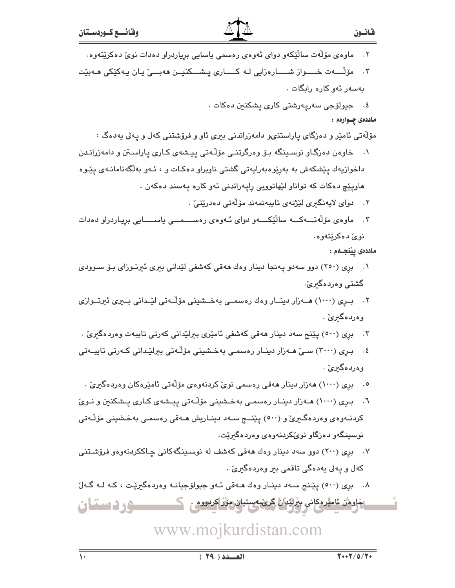- ماوەي مۆلّەت سالاّيكەو دواي ئەوەي رەسمى ياسايى برياردراو دەدات نويّ دەكريّتەوە٠
- ۴. مۆڵـــەت خـــــواز شــــــارەزايى لـه كـــــارى پــشـــكنيــن ھەبـــێ يـان يـەكێكى ھــەبێت پەسەر ئەر كارە رايگات .
	- ٤. جيولۆجى سەرپەرشتى كارى يشكنىن دەكات .

### ماددهۍ چــوارهم :

- مۆلەتى ئامێر و دەزگاي پاراستنىھ دامەزراندنى بىرى ئاو و فرۆشتنى كەل و پەلى پەدەگ :
- ۰۱ خاوهن دهزگاو نوسىينگه بۆ وەرگرتنى مۆڵەتى ييشەى كـارى ياراسىتن و دامەزرانىدن داخوازیهك پێشكهش به بەرێوەبەرایەتی گشتی ناوبراو دەكـات و ، ئــەو بەلگەنامانــەی يێـوە هاويێچ دهکات که تواناو لێهاتوويي رايهراندني ئهو کاره پهسند دهکهن .
	- ٢. دواي لايەنگىرى لێژنەي تايبەتمەند مۆلەتى دەدرێتى .
- ۳. ماوەي مۆلەتـــەكـــە سالێكــــەو دواي ئــەوەي رەســــمـــى ياســـــايى بريـاردراو دەدات نوئ دەكرێتەوە.

### ماددەى يېنجـەم :

- ۰۱ بری (۲۵۰) دوو سهدو یه نجا دینار وهك ههقی كهشفی لَیْدانی بیری ئیرتـوزای بـوّ سـوودی گشتي وهردهگىرين.
- ۲. بـرِی (۱۰۰۰) هــهزار دینــار وهك رهسمــی بهخــشینی مۆڵــهتی لێــدانی بــیری ئیرتــوازی وەردەگىرىٰ .
- ۴. بري (٥٠٠) پێنج سهد دينار هەقى كەشفى ئامێرى بېرلێدانى كەرتى تايبەت وەردەگىرىّ .
- ٤. بـری (٣٠٠٠) سـیٚ هـﻪزار دینـار رەسمـی بەخـشینی مۆڵـﻪتی بیرلێـدانی کـﻪرتی تایبـﻪتی وەردەگىرىٰ .
	- ٥. بری (١٠٠٠) هەزار دینار هەقى رەسمى نوێ كردنەوەي مۆڵەتى ئامێرەكان وەردەگىرێ .
- ٦. بـرِی (١٠٠٠) هــهزار دینــار رەسمــی بهخــشینی مۆڵـهتی پیــشهی کــاری پــشکنین و نــویّ کردنــهوهي وهردهگـيريّ و (٥٠٠) يێنــج ســهد دينــاريش هــهقي رهسمـي بهخـشيني مۆڵـهتي نوسینگەو دەزگاو نوێکردنەوەي وەردەگىرێت.
- ۰۷ بری (۲۰۰) دوو سهد دینار وهك ههقی كهشف له نوسـینگهكانی چـاككردنهوهو فرۆشـتنی کهل و پهلی پهدهگی تاقمی بىر وەردەگىرىّ .
- ۸. بری (٥٠٠) پێنج سهد دینار وهك هـهقی ئـهو جیولوّجیانـه وهردهگیریّت ، كـه لـه گـهلّ **مؤردستان** <u>ڄاوهُن ئامٽرهکاني بهرائندان ڳرينبهستيان مِوَرُ اکردووه . ڪ</u>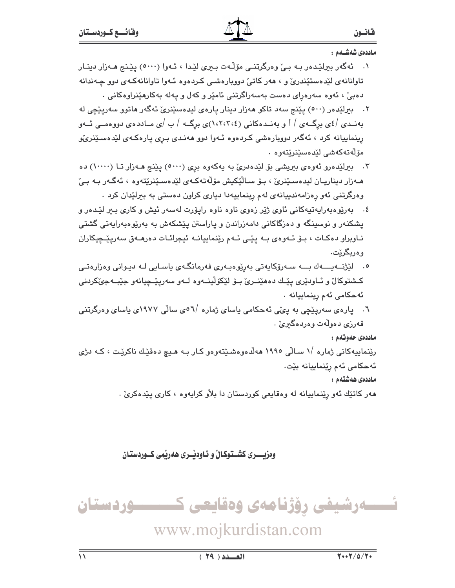ماددەى شەشــەم :

- ١. ئەگەر بېرلێدەر بـه بـێ وەرگرتنـی مۆڵـەت بـیری لێدا ، ئـهوا (٥٠٠٠) يێـنج هـهزار دينـار تاوانانهی لێدهستێندریؒ و ، ههر کاتیؒ دوویارهشمی کردهوه ئـهوا تاوانانهکهی دوو چـهندانه دهېيّ ، ئەوە سەرەراي دەست بەسەراگرتنى ئامێر و كەل و پەلە بەكارھێنراوەكانى ٠
- ۲. بېرلێده٫ (٥٠٠) پێنج سهد تاکو ههزار دینار پارهی لیدهسێنریٚ ئهگه٫ هاتوو سهرپێچی له بهنمدی /٤ی برگ+ی / أ و بهنمددکانی (١،٢،٣،٤)ی برگ+ / ب /ی مــاددهی دووهمــی ئــهو رینماییانه کرد ، ئەگەر دووبارەشى کردەوە ئـەوا دوو ھەنـدى بـرى يارەكـەى لێدەسـێنرىێو مۆلەتەكەشى لێدەسێنرێتەوە .
- ۳. بېرلیده رو ئهوهي بېریشي بۆ لیدهدرئ به یهکهوه بری (۵۰۰۰) پینیج هـهزار تــا (۱۰۰۰۰) ده هـﻪزار ديناريـان ليدەسـێنرێ ، بـۆ سـاڵێکيش مۆڵەتەکـﻪي لێدەسـێنرێتەوە ، ئەگـﻪر بـﻪ بـێ وهرگرتنی ئهو رهزامهندییانهی لهم رینماییهدا دیاری کراون دهستی به بیرلیدان کرد .
- ٤. بەرێوەبەرايەتپەكانى ئاوي ژێر زەوي ناوە ناوە رايۆرت لەسەر ئيش و كارى بىر لێدەر و پشکنهر و نوسپنگه و دهزگاکانی دامهزراندن و پاراستن پێشکهش به بهرێوهبهراپهتی گشتی ناوبراو دهکات ، بـوّ ئـهوهى بـه يێـی ئـهم رێنماييانـه ئيجرائـات دهرهـهق سهريێـڃِيکاران وەربگرێت.
- ٥. لێڗٝنــەیــــەك بـــە سـەرۆكاپەتى بەرێوەبـەرى فەرمانگـەي ياسـايى لـە ديـوانى وەزارەتـى کـشتوکال و ئــاودێری پێـك دەھێنــرێ بـۆ لێکۆڵينــەوە لــەو سەرپێــچيانەو جێبــەجێکردنی ئەحكامى ئەم رىنماييانە .
- ٦. پارەي سەرپێچى بە پىِّي ئەحكامى ياساي ژمارە /٥٦مى سالى ١٩٧٧ى ياساي وەرگرتنى قەرزى دەولەت وەردەگىرى .

ماددەي حەوتەم :

رێنماییهکانی ژماره /۱ سـالّی ۱۹۹۰ ههلّدهوهشـێتهوهو کـار بـه هـیچ دهقێك ناکرێت ، کـه دژی ئەحكامى ئەم رێنماييانە بێت٠

ماددەى ھەشتەم :

ههر کاتێك ئەو رێنماييانە لە وەقايعى كوردستان دا بلاّو كرايەوە ، كارى يێدەكرىٰ .

وهزيسري كشستوكال و ئاوديسري هەريمي كسوردستان

ئــــــەرشيفى رۆژنامەى وەقايعى كــــــــــوردستان

www.mojkurdistan.com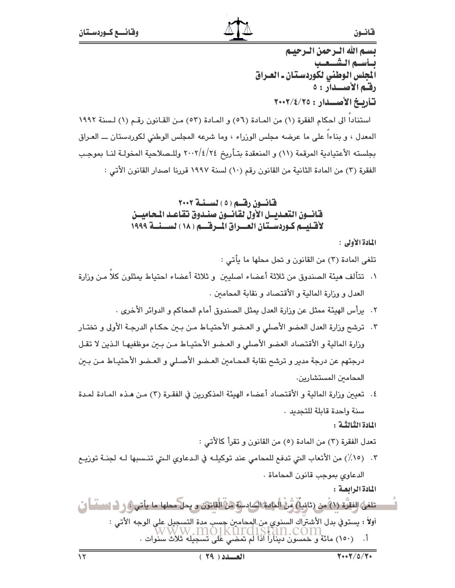بسم الله الترجمن الترجيتم بسأسسم الشسيعيب المجلس الوطني لكوردستان ـ العراق رقبم الأصلدار : ٥ تأربخ الأصبيدار : ٢٠٠٢/٤/٢٠٠٢

استنادا الى احكام الفقرة (١) من المادة (٥٦) و المادة (٥٣) من القانون رقم (١) لسنة ١٩٩٢ المعدل ، و بناءاً على ما عرضه مجلس الوزراء ، وما شرعه المجلس الوطني لكوردستان ـــ العـراق بجلسته الأعتيادية المرقمة (١١) و المنعقدة بتـأريخ ٢٤/٤/٢٤ وللـصلاحية المخولـة لنـا بموجب الفقرة (٣) من المادة الثانية من القانون رقم (١٠) لسنة ١٩٩٧ قررنا اصدار القانون الأتي :

## قانسون رقسم (٥) لسننة ٢٠٠٢ فانسون التعديسل الأول لقانسون صندوق تقاعد المحاميسن لأقتليتم كبوردستتان العسراق المترقسم ( ١٨ ) لسينية ١٩٩٩

المادة الأولى :

تلغي المادة (٣) من القانون و تحل محلها ما يأتي :

- ١. تتألف هيئة الصندوق من ثلاثة أعضاء اصليين و ثلاثة أعضاء احتياط يمثلون كلاً مـن وزارة العدل و وزارة المالية و الأقتصاد و نقابة المحامين .
	- ٢. يرأس الهيئة ممثل عن وزارة العدل يمثل الصندوق أمام المحاكم و الدوائر الأخرى .
- ٢. ترشح وزارة العدل العضو الأصلي و العـضو الأحتيـاط مـن بـين حكـام الدرجـة الأولى و تختـار وزارة المالية و الأقتصاد العضو الأصلي و العـضو الأحتيـاط مـن بـبن موظفيهـا الـذين لا تقـل درجتهم عن درجة مدير و ترشح نقابة المحـامبن العـضو الأصـلي و العـضو الأحتيـاط مـن بـبن المحامين المستشارين.
- ٤. تعيين وزارة المالية و الأقتصاد أعضاء الهيئة المذكورين في الفقـرة (٣) مـن هـذه المـادة لمـدة سنة واحدة قابلة للتجديد ٠

المادة الثَّالثَّة :

تعدل الفقرة (٣) من المادة (٥) من القانون و تقرأ كالأتي :

٣. (١٥٪) من الأتعاب التي تدفع للمحامي عند توكيلـه في الـدعاوي الـتي تنـسبها لـه لجنـة توزيـع الدعاوى بموجب قانون المحاماة .

المادة الرابعة :

تلغى الفقرة (١) من (ثانيا) مِّنْ المادة السادسة من الثانون و يحل محلها ما يأتي ﴾ و ف انساساً ف أولاً : يستوفي بدل الأشتراك السنوي من المحامين حسب مدة التسجيل على الوجه الأتي : ي بالمستقل المستقلة المستقلة المستقلة المستقلة المستقلة المستقلة المستقلة المستقلة المستقلة المستقلة<br>أ. (١٥٠) مائة و خمسون ديناراً اذا لم تمضي على تسجيله ثلاث سنوات .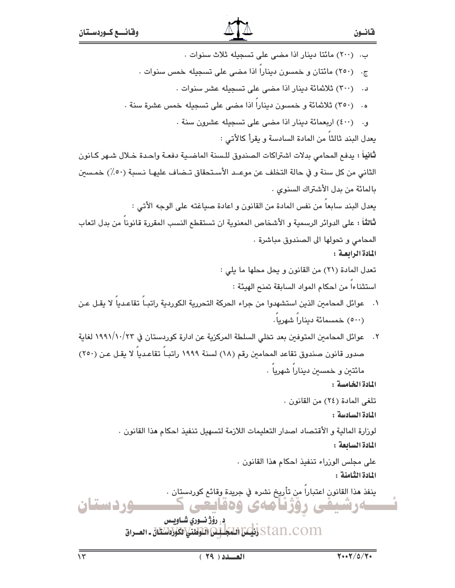ب. (٢٠٠) مائتا دينار اذا مضى على تسجيله ثلاث سنوات . ج. (٢٥٠) مائتان و خمسون دينارا اذا مضى على تسجيله خمس سنوات . د. (٣٠٠) ثلاثمائة دينار اذا مضى على تسجيله عشر سنوات . ه. (٣٥٠) ثلاثمائة و خمسون دينارا اذا مضى على تسجيله خمس عشرة سنة . و. (٤٠٠) اربعمائة دينار اذا مضى على تسجيله عشرون سنة . بعدل البند ثالثًا من المادة السادسة و بقرأ كالأتي : ثانياً : يدفع المحامي بدلات اشتراكات الصندوق للـسنة الماضـية دفعـة واحـدة خـلال شـهر كـانون الثاني من كل سنة و في حالة التخلف عن موعــد الأسـتحقاق تـضاف عليهـا نـسبة (٥٠/) خمـسين بالمائة من بدل الأشتراك السنوى . يعدل البند سابعا من نفس المادة من القانون و اعادة صياغته على الوجه الأتى : ثالثاً : على الدوائر الرسمية و الأشخاص المعنوية ان تستقطع النسب المقررة قانونا من بدل اتعاب المحامى و تحولها الى الصندوق مباشرة . المادة الرابعة: تعدل المادة (٢١) من القانون و يحل محلها ما يلي : استثناءا من احكام المواد السابقة تمنح الهيئة : ٠١ ـ عوائل المحامين الذين استشهدوا من جراء الحركة التحررية الكوردية راتبـاً تقاعـدياً لا يقـل عـن (٥٠٠) خمسمائة ديناراً شهرياً. ٢. عوائل المحامين المتوفين بعد تخلي السلطة المركزية عن ادارة كوردستان في ١٩٩١/١٠/٢٣ لغاية صدور قانون صندوق تقاعد المحامين رقم (١٨) لسنة ١٩٩٩ راتبـا تقاعـدياً لا يقـل عـن (٢٥٠) مائتین و خمسین دینارا شهریا . المادة الخامسة : تلغي المادة (٢٤) من القانون . المادة السادسة : لوزارة المالية و الأقتصاد اصدار التعليمات اللازمة لتسهيل تنفيذ احكام هذا القانون . المادة السابعة: على مجلس الوزراء تنفيذ احكام هذا القانون . المادة الثامنة : ينفذ هذا القانون اعتباراً من تأريخ نشره في جريدة وقائع كوردستان . وردستان ەرشىفى رۇژنامەي وەقايعى ڍ ۽ روُڙ نسوري شـاويـس Stan.com إنكر اللَّذَا اللَّهُ اللَّهُ اللَّهُ اللَّهُ اللَّهُ اللَّهُ اللَّهُ اللَّهُ اللَّهُ اللّ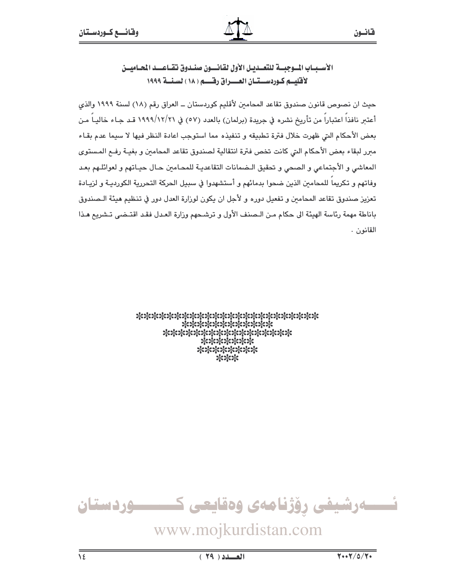الأسسيباب السوجيسة للتعسدييل الأول لقانسون صنسدوق تقياعسيد المحياميسن لأقليسه كوردسستيان العسراق رقسيه ( ١٨ ) لسنسة ١٩٩٩

حيث ان نصوص قانون صندوق تقاعد المحامين لأقليم كوردستان ــ العراق رقم (١٨) لسنة ١٩٩٩ والذي أعتىر نافذا اعتبارا من تأريخ نشره في جريدة (برلمان) بالعدد (٥٧) في ١٩٩٩/١٢/٢١ قـد جـاء خاليـا مـن بعض الأحكام التي ظهرت خلال فترة تطبيقه و تنفيذه مما استوجب اعادة النظر فيها لا سيما عدم بقاء مبرر لبقاء بعض الأحكام التي كانت تخص فترة انتقالية لصندوق تقاعد المحامين و بغيـة رفـم المـستوى المعاشي و الأجتماعي و الصحي و تحقيق الـضمانات التقاعديـة للمحـامين حـال حيـاتهم و لعوائلـهم بعـد وفاتهم و تكريما للمحامين الذين ضحوا بدمائهم و أستشهدوا في سبيل الحركة التحررية الكورديـة و لزيـادة تعزيز صندوق تقاعد المحامين و تفعيل دوره و لأجل ان يكون لوزارة العدل دور في تنظيم هيئة الـصندوق باناطة مهمة رئاسة الهيئة الى حكام من الـصنف الأول و ترشـحهم وزارة العـدل فقـد اقتـضى تـشريم هـذا القانون .

> \*\*\*\*\*\*\*\*\*\*\*\*\*\*\*\*\*\*\*\*\*\*\*\* \*\*\*\*\*\*\*\*\*\*\*\* \*\*\*\*\*\*\*\*\*\*\*\*\*\*\*\*\* \*\*\*\*\*\*\* \*\*\*\*\*\*\*\* \*\*\*

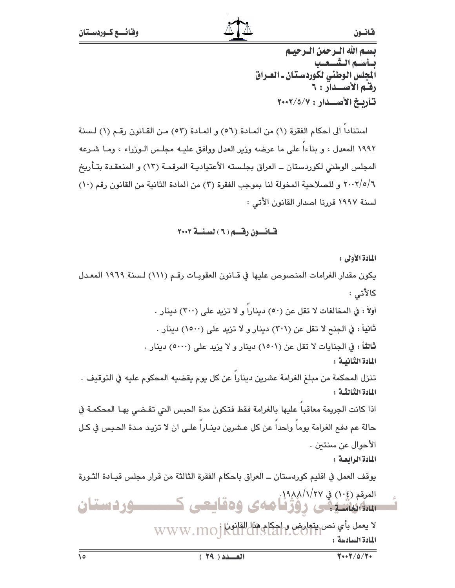بسم الله الترجمن الترجيتم بسأسسم الشسيعيب .<br>الجلس الوطني لكوردستان ـ العـراق رقم الأصلدار : ٦ تأريخ الأصلدار: ٢٠٠٢/٥/٧

استنادا الى احكام الفقرة (١) من المادة (٥٦) و المادة (٥٣) من القانون رقم (١) لسنة ١٩٩٢ المعدل ، و بناءا على ما عرضه وزير العدل ووافق عليـه مجلـس الـوزراء ، ومـا شـرعه المجلس الوطني لكوردستان ــ العراق بجلـسته الأعتياديـة المرقمـة (١٣) و المنعقـدة بتـأريخ ٢٠٠٢/٥/٦ و للصلاحية المخولة لنا بموجب الفقرة (٣) من المادة الثانية من القانون رقم (١٠) لسنة ١٩٩٧ قررنا اصدار القانون الأتي :

## قيانسون رقسم ( ٦ ) لسنسة ٢٠٠٢

المادة الأولى : يكون مقدار الغرامات المنصوص عليها في قـانون العقوبـات رقـم (١١١) لـسنة ١٩٦٩ المعـدل كالأتى : أولاً : في المخالفات لا تقل عن (٥٠) دينارا و لا تزيد على (٣٠٠) دينار . ثانياً : في الجنح لا تقل عن (٣٠١) دينار و لا تزيد على (١٥٠٠) دينار . ثالثاً : في الجنايات لا تقل عن (١٥٠١) دينار و لا يزيد على (٥٠٠٠) دينار . المادة الثانية : تنزل المحكمة من مبلغ الغرامة عشرين ديناراً عن كل يوم يقضيه المحكوم عليه في التوقيف . المادة الثَّنالثَّـة : اذا كانت الجريمة معاقبا عليها بالغرامة فقط فتكون مدة الحبس التي تقضى بها المحكمة في حالة عم دفع الغرامة يوما واحدا عن كل عشرين دينـارا علـى ان لا تزيـد مـدة الحـبس في كـل الأحوال عن سنتىن . المادة الرابعة: يوقف العمل في اقليم كوردستان ــ العراق باحكام الفقرة الثالثة من قرار مجلس قيـادة الثـورة المرقم (١٠٤) في ١٩٨٨/١/٨/٩/٩. <del>ستاننشینی</del> روژنامهی وهقایعی ک ـــــوردستان لا يعمل بأي نص يتعارض واحكام هذا القانون WWW.MOjkull CHS المادة السادسة: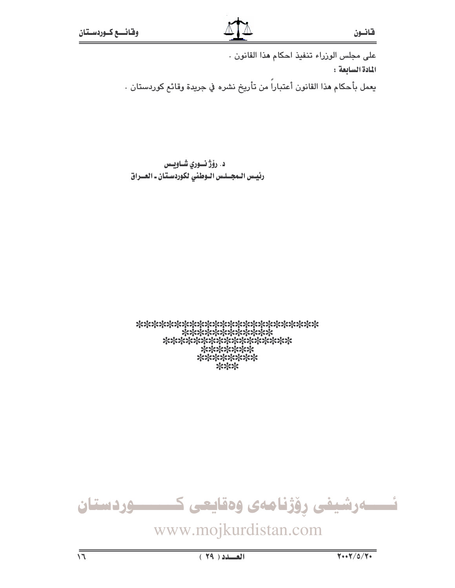على مجلس الوزراء تنفيذ احكام هذا القانون . المادة السابعة: يعمل بأحكام هذا القانون أعتباراً من تأريخ نشره في جريدة وقائع كوردستان .

د. رۆژنسورى شاوبىس رئيس المجلس اللوطني لكوردستان ـ العلراق

\*\*\*\*\*\*\*\*\*\*\*\*\*\*\*\* \*\*\*\*\*\*\* \*\*\*\*\*\*\*\*  $***$ 

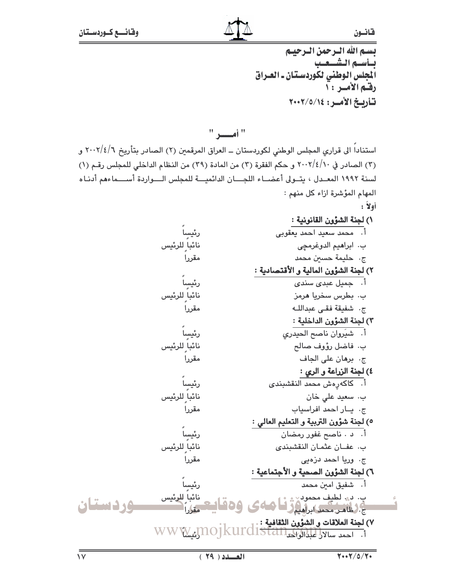بسم الله الترجمن الترجينم بسأسسم الشسيعيب المجلس الوطني لكوردستان ـ العـراق رقم الأمس : أ تأربخ الأمير: ٢٠٠٢/٥/١٤

استناداً الى قرارى المجلس الوطني لكوردستان ــ العراق المرقمين (٢) الصادر بتأريخ ٢٠٠٢/٤/٦ و (٢) الصادر في ٢٠٠٢/٤/١٠ و حكم الفقرة (٢) من المادة (٢٩) من النظام الداخلي للمجلس رقـم (١) لسنة ١٩٩٢ المعـدل ، يتـولى أعضــاء اللجـــان الدائميـــة للمجلس الـــواردة أســـماءهم أدنـاه المهام المؤشرة ازاء كل منهم :

أولاً: ١) لجنة الشؤون القانونية : أ. - محمد سعيد احمد يعقوبي رئيسا نائباً ِللرئيس ب. ابراهيم الدوغرمچي ج. حليمة حسين محمد مقررا ٢) لجنة الشؤون المالية و الأقتصادية : رئيساً ۔<br>أ. جميل عبدي سندي نائبا<sup>ً</sup> ٍللرئيس ب. بطرس سخريا هرمز ج. شفيقة فقى عبداللـه مقررا ٢) لجنة الشؤون الداخلية : أ. شيروان ناصح الحيدرى رئيسا نائباً ِللرئيس ب. فاضل رؤوف صالح مقرراً ج. برهان على الجاف ٤) لجنة الزراعة و الرى : رئيساً أ. كاكەرەش محمد النقشبندى نائباً ٍللرئيس ب. سعيد على خان مقرراً ج. يار احمد افراسياب ٥) لجنة شؤون التربية و التعليم العالي : أ. د . ناصح غفور رمضان رئيسا نائباً ٍللرئيس ب. عفان عثمان النقشبندى

ج. وريا احمد دزەيى مقررا ٦) لجنة الشؤون الصحية و الأجتماعية : رئيساً اً. شفيق امين محمد نائباً للرئيس<br>مقاباً ب. د. لطيف محمود<br>م. فانس محمد ابراهيم *و* فــا (<br>ج. فظاهـن محمد ابراهيم و فــا وردستان Y) لجنة العلاقات و الشوون الثقافية : .<br>1. احمد سالالي لمبلا الواكن 15 LST all WWW.Jno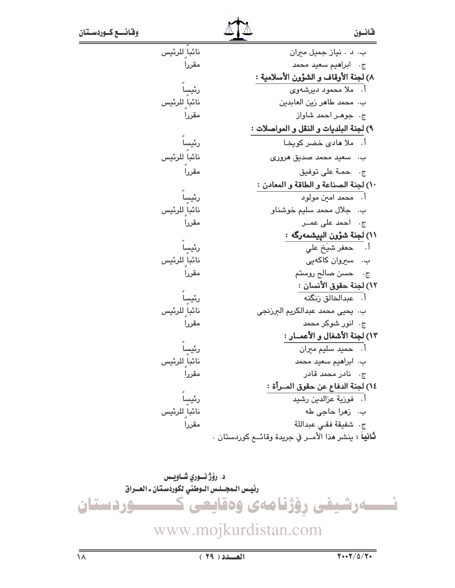|--|--|--|

| نائبا ٍ للرئيس                                            | ب. د . نياز جميل ميران                                       |
|-----------------------------------------------------------|--------------------------------------------------------------|
| مقررا                                                     | ج. ابراهيم سعيد محمد                                         |
|                                                           | ٨) لجنة الأوقاف و الشؤون الأسلامية :                         |
| رئيساً                                                    | أ.   ملا محمود دیرشهوی                                       |
| نائبا ٍللرئيس                                             | ب. محمد طاهر زين العابدين                                    |
| مقررا                                                     | ج. جوهر احمد شاواز                                           |
|                                                           | ٩) لجنة البلديات و النقل و المواصلات :                       |
| رئيساً                                                    | أ.   ملا هادی خضر کویخـا                                     |
| نائبا للرئيس                                              | ب. سعيد محمد صديق هروری                                      |
| مقرراً                                                    | ج. حمـة على توفيق                                            |
|                                                           | ١٠) لجنة الصناعة و الطاقة و المعادن :                        |
| رئيساً                                                    | أ.   محمد امين مولود                                         |
| نائبا ٍ للرئيس                                            | ب. جلال محمد سليم خوشناو                                     |
| مقررا                                                     | ج، احمد علی عمــر                                            |
|                                                           | ١١) لجنة شؤون الييشمەرگە :                                   |
| رئيسا                                                     | أ. حعفر شيَخ على                                             |
| نائبا ٍللرئيس                                             | ب۔ سیروان کاکهیی                                             |
| مقررا                                                     | ج· حسن صالح روستم                                            |
|                                                           | ١٢) لجنة حقوق الأنسان :                                      |
| رئيسٍاً                                                   | أ. عبدالخالق زنگنه                                           |
| نائبا ٍللرئيس                                             | ب. يحيى محمد عبدالكريم البرزنجي                              |
| مقررا                                                     | ج. انور شوکر محمد                                            |
|                                                           | ١٣) لجنة الأشغال و الأعمــار :                               |
| رئيساً                                                    | أ.    حميد سليم ميران                                        |
| نائبا للرئيس                                              | ب. ابراهيم سعيد محمد                                         |
| مقررا                                                     | ج. نادر محمد قادر                                            |
|                                                           | ١٤) لجنة الدفاع عن حقوق المــرأة :                           |
|                                                           | أ. فوزية عزالدين رشيد                                        |
| رئيسا <sup>ً</sup><br>نائباً للرئيس<br>مقررا <sup>ً</sup> | ب.۔ زهرا حاجی طه                                             |
|                                                           | ج. شفيقة فقي عبداللة                                         |
|                                                           | <b>ثانياً :</b> ينشر هذا الأمــر في جريدة وقائــع كوردستان . |

د. رۆژ نوري شـاويـس رئيس اللمجسلس اللوطني لكوردستان ـ العسراق ــــوردستان www.mojkurdistan.com  $\frac{1}{\sqrt{2}}$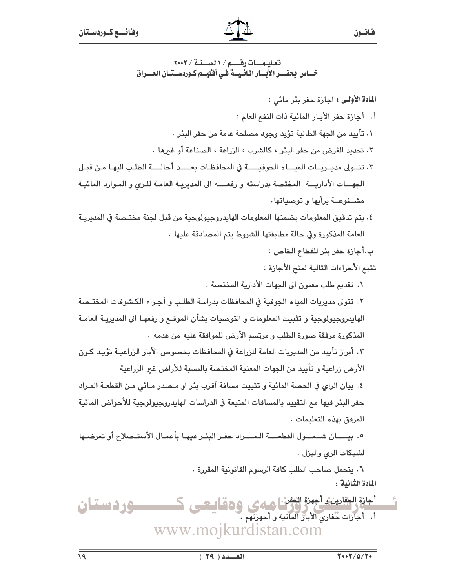في المديريـة

تؤيد كون

أو تعرضها

تعليمات رقم / ١ نسخة / ٢٠٠٢ خساص بحفسر الأبسار المائيسة في أفليسم كبوردسستسان العسيراق

٦. يتحمل صاحب الطلب كافة الرسوم القانونية المقررة . المادة الثَّانية :

أجازة الجفارين و أجهزة الحفن :<br>- أجازة الجفارين و أكبر المائية و أجهزتهم .<br>- أ - أجازات حفاري الأباز المائية و أجهزتهم .  $\frac{e}{\sqrt{2}}$ ــوردستان www.mojkurdistan.com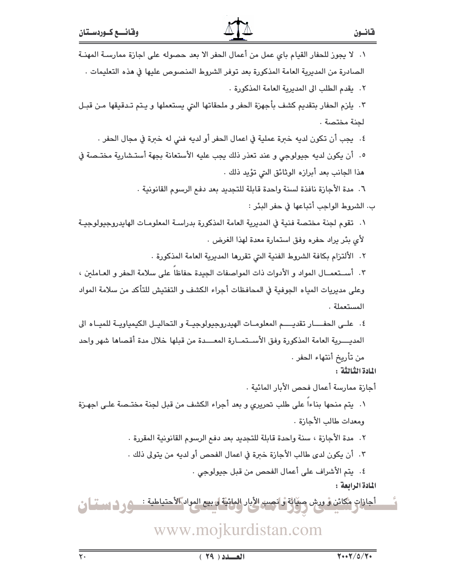| ١.  لا يجوز للحفار القيام باي عمل من أعمال الحفر الا بعد حصوله على اجازة ممارسـة المهنـة            |
|-----------------------------------------------------------------------------------------------------|
| الصادرة من المديرية العامة المذكورة بعد توفر الشروط المنصوص عليها في هذه التعليمات .                |
| ٢.   يقدم الطلب الى المديرية العامة المذكورة .                                                      |
| ٢.  يلزم الحفار بتقديم كشف بأجهزة الحفر و ملحقاتها التي يستعملها و يـتم تـدقيقها مـن قبـل           |
| لجنة مختصة .                                                                                        |
| ٤.   يجب أن تكون لديه خبرة عملية في اعمال الحفر أو لديه فني له خبرة في مجال الحفر .                 |
| ٥.  أن يكون لديه جيولوجي و عند تعذر ذلك يجب عليه الأستعانة بجهة أستـشارية مختـصة في                 |
| هذا الجانب بعد أبرازه الوثائق التي تؤيد ذلك .                                                       |
| ٦.  مدة الأجازة نافذة لسنة واحدة قابلة للتجديد بعد دفع الرسوم القانونية .                           |
| ب. الشروط الواجب أتباعها في حفر البئر :                                                             |
| ١.  تقوم لجنة مختصة فنية في المديرية العامة المذكورة بدراسـة المعلومـات الهايدروجيولوجيـة           |
| لأي بئر يراد حفره وفق استمارة معدة لهذا الغرض .                                                     |
| ٢.   الألتزام بكافة الشروط الفنية التي تقررها المديرية العامة المذكورة .                            |
| ٢. أستعمـال المواد و الأدوات ذات المواصفات الجيدة حفاظا على سلامة الحفر و العـاملين ،               |
| وعلى مديريات المياه الجوفية في المحافظات أجراء الكشف و التفتيش للتأكد من سلامة المواد               |
| المستعملة .                                                                                         |
| ٤.  علـى الحفــــار تقديـــــم المعلومــات الهيدروجيولوجيــة و التحاليــل الكيمياويــة للميــاه الى |
| المديــــرية العامة المذكورة وفق الأســتمــارة المعــــدة من قبلها خلال مدة أقصاها شهر واحد         |
| من تأريخ أنتهاء الحفر .                                                                             |
| المادة الثّالثّة :                                                                                  |
| أجازة ممارسة أعمال فحص الأبار المائية .                                                             |
| ١. يتم منحها بناءا على طلب تحريري و بعد أجراء الكشف من قبل لجنة مختـصة علـى اجهـزة                  |
| ومعدات طالب الأجازة .                                                                               |
| ٢.   مدة الأجازة ، سنة واحدة قابلة للتجديد بعد دفع الرسوم القانونية المقررة .                       |
| ٣.  أن يكون لدى طالب الأجازة خبرة في اعمال الفحص أو لديه من يتولى ذلك .                             |
| ٤.   يتم الأشراف على أعمال الفحص من قبل جيولوجي .<br>المادة الرابعة :                               |
| أجازات مُكائن وْ ورش صفّائة وانصب الأبار المائيّة له بيع المواد الأحتياطية :<br>-                   |
| www.mojkurdistan.com                                                                                |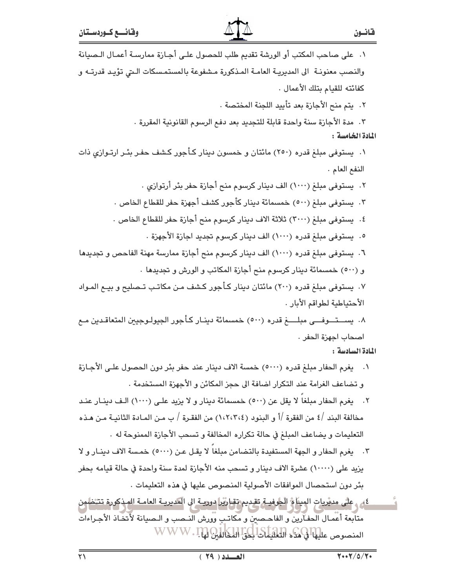| ٠١. على صاحب المكتب أو الورشة تقديم طلب للحصول علـى أجـازة ممارسـة أعمـال الـصيانة              |
|-------------------------------------------------------------------------------------------------|
| والنصب معنونـة  الى المديريـة العامـة المـذكورة مـشفوعة بالمستمـسكات الـتي تؤيـد قدرتـه و       |
| كفائته للقيام بتلك الأعمال .                                                                    |
| ٢.  يتم منح الأجازة بعد تأييد اللجنة المختصة .                                                  |
| ٣.  مدة الأجازة سنة واحدة قابلة للتجديد بعد دفع الرسوم القانونية المقررة .                      |
| المادة الخامسة :                                                                                |
| ۰۱   یستوفی مبلغ قدره (۲۵۰) مائتان و خمسون دینار کـأجور کـشف حفـر بئـر ارتـوازي ذات             |
| النفع العام .                                                                                   |
| ۲.  يستوفى مبلغ (۱۰۰۰) الف دينار كرسوم منح أجازة حفر بئر أرتوازي .                              |
| ٣.  يستوفى مبلغ (٥٠٠) خمسمائة دينار كأجور كشف أجهزة حفر للقطاع الخاص .                          |
| ٤.  يستوفى مبلغ (٣٠٠٠) ثلاثة الاف دينار كرسوم منح أجازة حفر للقطاع الخاص .                      |
| ٥.  يستوفى مبلغ قدره (١٠٠٠) الف دينار كرسوم تجديد اجازة الأجهزة .                               |
| ٦. يستوفى مبلغ قدره (١٠٠٠) الف دينار كرسوم منح أجازة ممارسة مهنة الفاحص و تجديدها               |
| و (٥٠٠) خمسمائة دينار كرسوم منح أجازة المكاتب و الورش و تجديدها .                               |
| ۰۷ یستوفی مبلغ قدره (۲۰۰) مائتان دینار کـأجور کـشف مـن مکاتـب تـصلیح و بیـع المـواد             |
| الأحتياطية لطواقم الأبار .                                                                      |
| ٨.  يســـتـــوفــــى مبلــــــغ قدره (٥٠٠) خمسمائة دينــار كـأجور الجيولـوجيين المتعاقـدين مــع |
| أصحاب أجهزة الحفر .                                                                             |
| المادة السادسة:                                                                                 |

- ١. يغرم الحفار مبلغ قدره (٥٠٠٠) خمسة الاف دينار عند حفر بئر دون الحصول على الأجـازة و تضاعف الغرامة عند التكرار اضافة الى حجز المكائن و الأجهزة المستخدمة .
- ٢. يغرم الحفار مبلغاً لا يقل عن (٥٠٠) خمسمائة دينار و لا يزيد علـى (١٠٠٠) الـف دينـار عنـد مخالفة البند /٤ من الفقرة /أ و البنود (١،٢،٢،٤) من الفقـرة / ب مـن المـادة الثانيـة مـن هـذه التعليمات و يضاعف المبلغ في حالة تكراره المخالفة و تسحب الأجازة الممنوحة له .
- ٣. يغرم الحفار و الجهة المستفيدة بالتضامن مبلغاً لا يقـل عـن (٥٠٠٠) خمسة الاف دينـار و لا يزيد على (١٠٠٠٠) عشرة الاف دينار و تسحب منه الأجازة لمدة سنة واحدة في حالة قيامه بحفر بئر دون استحصال الموافقات الأصولية المنصوص عليها في هذه التعليمات .
- ٤ \_ على مديريات الميناة الجوفيـة تقـديم تقـاريرا دوريـة الى المديريـة العامـة المـذكورة تتـُـْضُمِن متابعة أعمال الحفـأرين و الفاحـصين و مكاتـبٍ وورش النـصب و الـصيانة لأتخـاذ الأجـراءات المنصوص عليها في هذه التعليمات ابكي المكالي WWW. 110